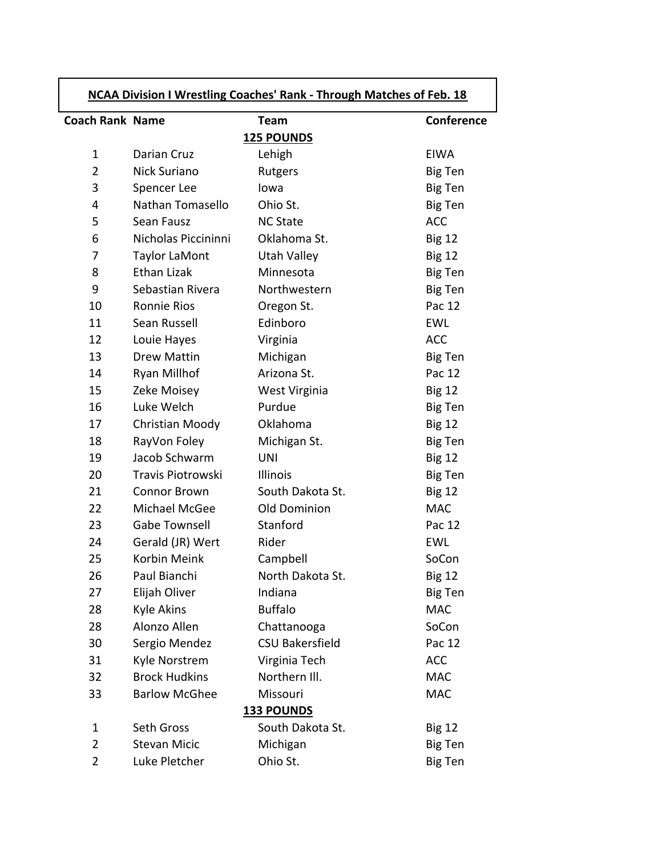| <b>NCAA Division I Wrestling Coaches' Rank - Through Matches of Feb. 18</b> |                      |                        |                |
|-----------------------------------------------------------------------------|----------------------|------------------------|----------------|
| <b>Coach Rank Name</b>                                                      |                      | <b>Team</b>            | Conference     |
|                                                                             |                      | <b>125 POUNDS</b>      |                |
| $\mathbf{1}$                                                                | Darian Cruz          | Lehigh                 | <b>EIWA</b>    |
| $\overline{2}$                                                              | Nick Suriano         | Rutgers                | Big Ten        |
| 3                                                                           | Spencer Lee          | lowa                   | <b>Big Ten</b> |
| 4                                                                           | Nathan Tomasello     | Ohio St.               | Big Ten        |
| 5                                                                           | Sean Fausz           | <b>NC State</b>        | <b>ACC</b>     |
| 6                                                                           | Nicholas Piccininni  | Oklahoma St.           | <b>Big 12</b>  |
| 7                                                                           | <b>Taylor LaMont</b> | Utah Valley            | <b>Big 12</b>  |
| 8                                                                           | <b>Ethan Lizak</b>   | Minnesota              | <b>Big Ten</b> |
| 9                                                                           | Sebastian Rivera     | Northwestern           | Big Ten        |
| 10                                                                          | <b>Ronnie Rios</b>   | Oregon St.             | Pac 12         |
| 11                                                                          | Sean Russell         | Edinboro               | <b>EWL</b>     |
| 12                                                                          | Louie Hayes          | Virginia               | <b>ACC</b>     |
| 13                                                                          | <b>Drew Mattin</b>   | Michigan               | Big Ten        |
| 14                                                                          | Ryan Millhof         | Arizona St.            | Pac 12         |
| 15                                                                          | Zeke Moisey          | West Virginia          | <b>Big 12</b>  |
| 16                                                                          | Luke Welch           | Purdue                 | Big Ten        |
| 17                                                                          | Christian Moody      | Oklahoma               | <b>Big 12</b>  |
| 18                                                                          | RayVon Foley         | Michigan St.           | Big Ten        |
| 19                                                                          | Jacob Schwarm        | <b>UNI</b>             | <b>Big 12</b>  |
| 20                                                                          | Travis Piotrowski    | Illinois               | <b>Big Ten</b> |
| 21                                                                          | <b>Connor Brown</b>  | South Dakota St.       | <b>Big 12</b>  |
| 22                                                                          | Michael McGee        | Old Dominion           | <b>MAC</b>     |
| 23                                                                          | <b>Gabe Townsell</b> | Stanford               | Pac 12         |
| 24                                                                          | Gerald (JR) Wert     | Rider                  | <b>EWL</b>     |
| 25                                                                          | Korbin Meink         | Campbell               | SoCon          |
| 26                                                                          | Paul Bianchi         | North Dakota St.       | <b>Big 12</b>  |
| 27                                                                          | Elijah Oliver        | Indiana                | <b>Big Ten</b> |
| 28                                                                          | Kyle Akins           | <b>Buffalo</b>         | <b>MAC</b>     |
| 28                                                                          | Alonzo Allen         | Chattanooga            | SoCon          |
| 30                                                                          | Sergio Mendez        | <b>CSU Bakersfield</b> | Pac 12         |
| 31                                                                          | Kyle Norstrem        | Virginia Tech          | <b>ACC</b>     |
| 32                                                                          | <b>Brock Hudkins</b> | Northern III.          | <b>MAC</b>     |
| 33                                                                          | <b>Barlow McGhee</b> | Missouri               | <b>MAC</b>     |
| <b>133 POUNDS</b>                                                           |                      |                        |                |
| $\mathbf{1}$                                                                | Seth Gross           | South Dakota St.       | <b>Big 12</b>  |
| $\overline{2}$                                                              | <b>Stevan Micic</b>  | Michigan               | <b>Big Ten</b> |
| $\overline{2}$                                                              | Luke Pletcher        | Ohio St.               | <b>Big Ten</b> |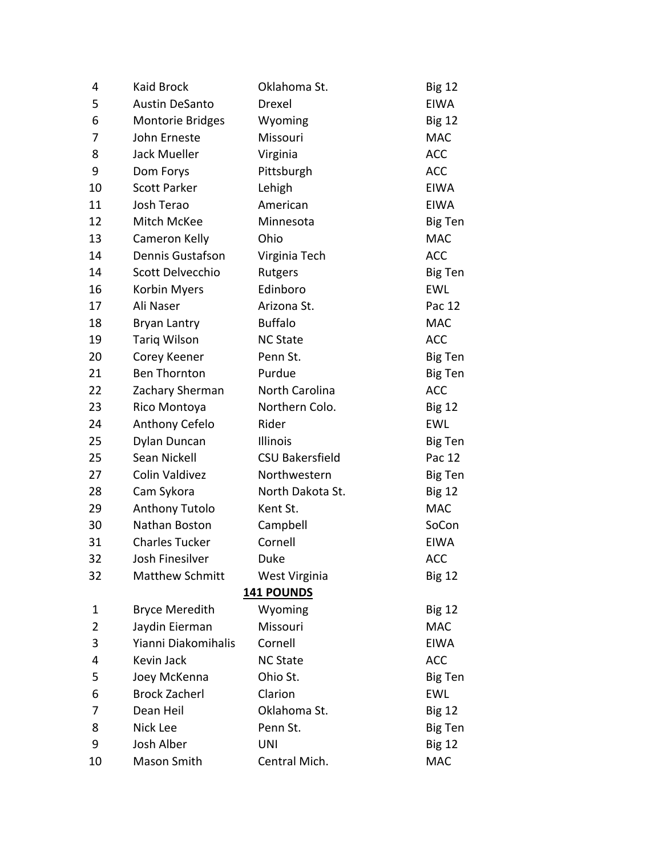| 4              | <b>Kaid Brock</b>       | Oklahoma St.           | <b>Big 12</b>  |
|----------------|-------------------------|------------------------|----------------|
| 5              | <b>Austin DeSanto</b>   | Drexel                 | <b>EIWA</b>    |
| 6              | <b>Montorie Bridges</b> | Wyoming                | <b>Big 12</b>  |
| 7              | John Erneste            | Missouri               | <b>MAC</b>     |
| 8              | Jack Mueller            | Virginia               | <b>ACC</b>     |
| 9              | Dom Forys               | Pittsburgh             | <b>ACC</b>     |
| 10             | <b>Scott Parker</b>     | Lehigh                 | <b>EIWA</b>    |
| 11             | Josh Terao              | American               | <b>EIWA</b>    |
| 12             | Mitch McKee             | Minnesota              | <b>Big Ten</b> |
| 13             | Cameron Kelly           | Ohio                   | <b>MAC</b>     |
| 14             | Dennis Gustafson        | Virginia Tech          | <b>ACC</b>     |
| 14             | Scott Delvecchio        | Rutgers                | Big Ten        |
| 16             | Korbin Myers            | Edinboro               | <b>EWL</b>     |
| 17             | Ali Naser               | Arizona St.            | Pac 12         |
| 18             | Bryan Lantry            | <b>Buffalo</b>         | <b>MAC</b>     |
| 19             | Tariq Wilson            | <b>NC State</b>        | <b>ACC</b>     |
| 20             | Corey Keener            | Penn St.               | Big Ten        |
| 21             | <b>Ben Thornton</b>     | Purdue                 | Big Ten        |
| 22             | Zachary Sherman         | North Carolina         | <b>ACC</b>     |
| 23             | Rico Montoya            | Northern Colo.         | <b>Big 12</b>  |
| 24             | Anthony Cefelo          | Rider                  | <b>EWL</b>     |
| 25             | Dylan Duncan            | Illinois               | Big Ten        |
| 25             | Sean Nickell            | <b>CSU Bakersfield</b> | Pac 12         |
| 27             | <b>Colin Valdivez</b>   | Northwestern           | Big Ten        |
| 28             | Cam Sykora              | North Dakota St.       | <b>Big 12</b>  |
| 29             | <b>Anthony Tutolo</b>   | Kent St.               | <b>MAC</b>     |
| 30             | Nathan Boston           | Campbell               | SoCon          |
| 31             | <b>Charles Tucker</b>   | Cornell                | <b>EIWA</b>    |
| 32             | Josh Finesilver         | Duke                   | <b>ACC</b>     |
| 32             | <b>Matthew Schmitt</b>  | West Virginia          | <b>Big 12</b>  |
|                |                         | <b>141 POUNDS</b>      |                |
| 1              | <b>Bryce Meredith</b>   | Wyoming                | <b>Big 12</b>  |
| $\overline{2}$ | Jaydin Eierman          | Missouri               | <b>MAC</b>     |
| 3              | Yianni Diakomihalis     | Cornell                | <b>EIWA</b>    |
| 4              | Kevin Jack              | <b>NC State</b>        | <b>ACC</b>     |
| 5              | Joey McKenna            | Ohio St.               | Big Ten        |
| 6              | <b>Brock Zacherl</b>    | Clarion                | <b>EWL</b>     |
| 7              | Dean Heil               | Oklahoma St.           | <b>Big 12</b>  |
| 8              | Nick Lee                | Penn St.               | Big Ten        |
| 9              | Josh Alber              | UNI                    | <b>Big 12</b>  |
| 10             | Mason Smith             | Central Mich.          | <b>MAC</b>     |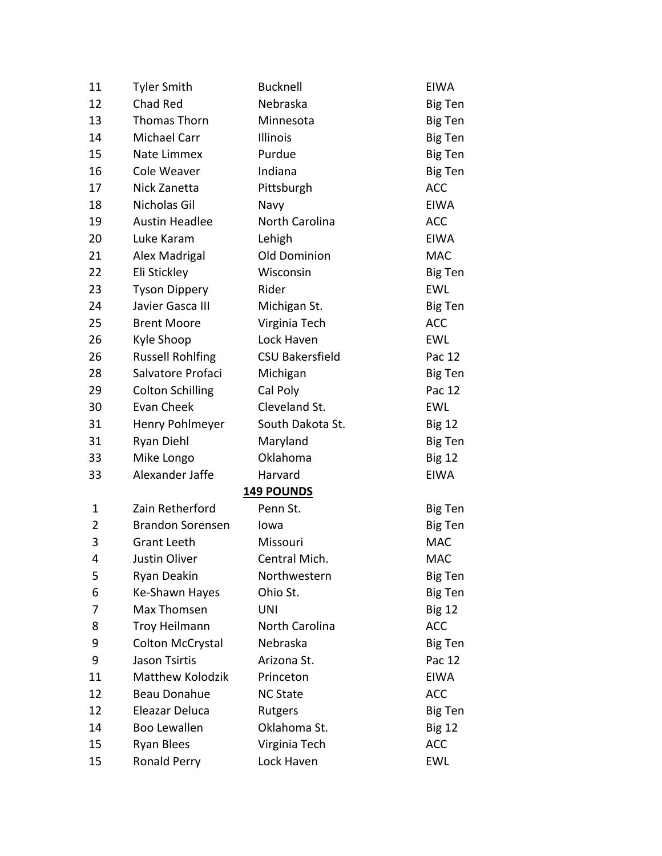| 11           | <b>Tyler Smith</b>      | <b>Bucknell</b>        | <b>EIWA</b>    |
|--------------|-------------------------|------------------------|----------------|
| 12           | Chad Red                | Nebraska               | <b>Big Ten</b> |
| 13           | Thomas Thorn            | Minnesota              | Big Ten        |
| 14           | Michael Carr            | Illinois               | Big Ten        |
| 15           | Nate Limmex             | Purdue                 | Big Ten        |
| 16           | Cole Weaver             | Indiana                | Big Ten        |
| 17           | Nick Zanetta            | Pittsburgh             | <b>ACC</b>     |
| 18           | Nicholas Gil            | Navy                   | <b>EIWA</b>    |
| 19           | <b>Austin Headlee</b>   | North Carolina         | <b>ACC</b>     |
| 20           | Luke Karam              | Lehigh                 | <b>EIWA</b>    |
| 21           | Alex Madrigal           | Old Dominion           | <b>MAC</b>     |
| 22           | Eli Stickley            | Wisconsin              | <b>Big Ten</b> |
| 23           | <b>Tyson Dippery</b>    | Rider                  | EWL            |
| 24           | Javier Gasca III        | Michigan St.           | Big Ten        |
| 25           | <b>Brent Moore</b>      | Virginia Tech          | <b>ACC</b>     |
| 26           | Kyle Shoop              | Lock Haven             | <b>EWL</b>     |
| 26           | <b>Russell Rohlfing</b> | <b>CSU Bakersfield</b> | Pac 12         |
| 28           | Salvatore Profaci       | Michigan               | Big Ten        |
| 29           | <b>Colton Schilling</b> | Cal Poly               | Pac 12         |
| 30           | <b>Evan Cheek</b>       | Cleveland St.          | <b>EWL</b>     |
| 31           | Henry Pohlmeyer         | South Dakota St.       | <b>Big 12</b>  |
| 31           | Ryan Diehl              | Maryland               | Big Ten        |
| 33           | Mike Longo              | Oklahoma               | <b>Big 12</b>  |
| 33           | Alexander Jaffe         | Harvard                | <b>EIWA</b>    |
|              |                         | 149 POUNDS             |                |
| $\mathbf{1}$ | Zain Retherford         | Penn St.               | Big Ten        |
| 2            | <b>Brandon Sorensen</b> | lowa                   | Big Ten        |
| 3            | <b>Grant Leeth</b>      | Missouri               | <b>MAC</b>     |
| 4            | Justin Oliver           | Central Mich.          | <b>MAC</b>     |
| 5            | Ryan Deakin             | Northwestern           | Big Ten        |
| 6            | Ke-Shawn Hayes          | Ohio St.               | Big Ten        |
| 7            | Max Thomsen             | <b>UNI</b>             | <b>Big 12</b>  |
| 8            | Troy Heilmann           | North Carolina         | <b>ACC</b>     |
| 9            | Colton McCrystal        | Nebraska               | Big Ten        |
| 9            | <b>Jason Tsirtis</b>    | Arizona St.            | Pac 12         |
| 11           | <b>Matthew Kolodzik</b> | Princeton              | <b>EIWA</b>    |
| 12           | <b>Beau Donahue</b>     | <b>NC State</b>        | <b>ACC</b>     |
| 12           | Eleazar Deluca          | Rutgers                | Big Ten        |
| 14           | <b>Boo Lewallen</b>     | Oklahoma St.           | <b>Big 12</b>  |
| 15           | Ryan Blees              | Virginia Tech          | <b>ACC</b>     |
| 15           | Ronald Perry            | Lock Haven             | EWL            |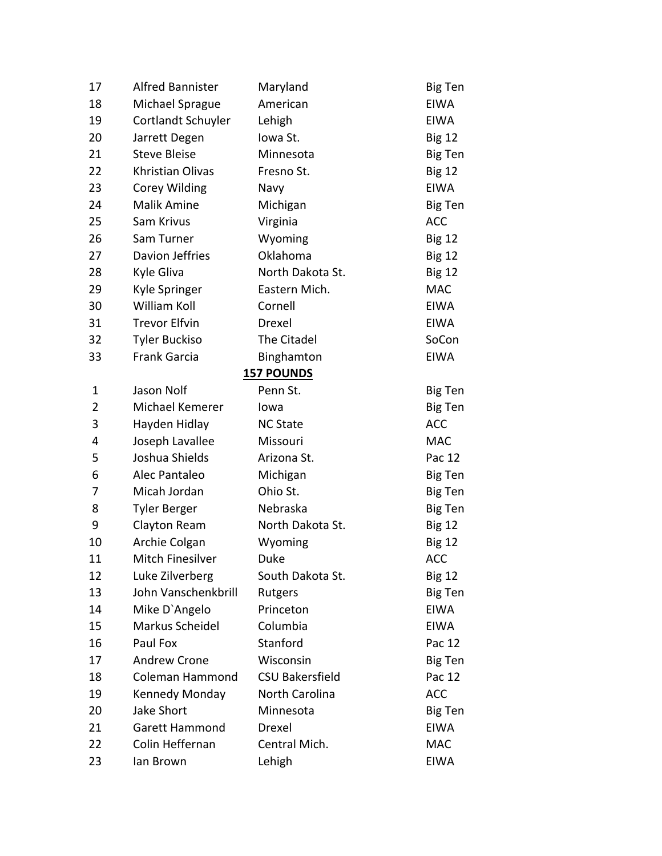| 17             | <b>Alfred Bannister</b> | Maryland               | <b>Big Ten</b> |
|----------------|-------------------------|------------------------|----------------|
| 18             | Michael Sprague         | American               | <b>EIWA</b>    |
| 19             | Cortlandt Schuyler      | Lehigh                 | <b>EIWA</b>    |
| 20             | Jarrett Degen           | Iowa St.               | <b>Big 12</b>  |
| 21             | <b>Steve Bleise</b>     | Minnesota              | Big Ten        |
| 22             | Khristian Olivas        | Fresno St.             | <b>Big 12</b>  |
| 23             | <b>Corey Wilding</b>    | Navy                   | <b>EIWA</b>    |
| 24             | <b>Malik Amine</b>      | Michigan               | Big Ten        |
| 25             | Sam Krivus              | Virginia               | <b>ACC</b>     |
| 26             | Sam Turner              | Wyoming                | <b>Big 12</b>  |
| 27             | Davion Jeffries         | Oklahoma               | <b>Big 12</b>  |
| 28             | Kyle Gliva              | North Dakota St.       | <b>Big 12</b>  |
| 29             | Kyle Springer           | Eastern Mich.          | <b>MAC</b>     |
| 30             | <b>William Koll</b>     | Cornell                | <b>EIWA</b>    |
| 31             | <b>Trevor Elfvin</b>    | Drexel                 | <b>EIWA</b>    |
| 32             | <b>Tyler Buckiso</b>    | The Citadel            | SoCon          |
| 33             | Frank Garcia            | Binghamton             | <b>EIWA</b>    |
|                |                         | <b>157 POUNDS</b>      |                |
| 1              | Jason Nolf              | Penn St.               | <b>Big Ten</b> |
| $\overline{2}$ | Michael Kemerer         | lowa                   | Big Ten        |
| 3              | Hayden Hidlay           | <b>NC State</b>        | <b>ACC</b>     |
| 4              | Joseph Lavallee         | Missouri               | <b>MAC</b>     |
| 5              | Joshua Shields          | Arizona St.            | Pac 12         |
| 6              | Alec Pantaleo           | Michigan               | Big Ten        |
| 7              | Micah Jordan            | Ohio St.               | <b>Big Ten</b> |
| 8              | <b>Tyler Berger</b>     | Nebraska               | <b>Big Ten</b> |
| 9              | Clayton Ream            | North Dakota St.       | <b>Big 12</b>  |
| 10             | Archie Colgan           | Wyoming                | <b>Big 12</b>  |
| 11             | Mitch Finesilver        | Duke                   | <b>ACC</b>     |
| 12             | Luke Zilverberg         | South Dakota St.       | <b>Big 12</b>  |
| 13             | John Vanschenkbrill     | Rutgers                | <b>Big Ten</b> |
| 14             | Mike D'Angelo           | Princeton              | <b>EIWA</b>    |
| 15             | Markus Scheidel         | Columbia               | <b>EIWA</b>    |
| 16             | Paul Fox                | Stanford               | Pac 12         |
| 17             | <b>Andrew Crone</b>     | Wisconsin              | <b>Big Ten</b> |
| 18             | <b>Coleman Hammond</b>  | <b>CSU Bakersfield</b> | Pac 12         |
| 19             | Kennedy Monday          | North Carolina         | <b>ACC</b>     |
| 20             | <b>Jake Short</b>       | Minnesota              | Big Ten        |
| 21             | <b>Garett Hammond</b>   | Drexel                 | <b>EIWA</b>    |
| 22             | Colin Heffernan         | Central Mich.          | <b>MAC</b>     |
| 23             | lan Brown               | Lehigh                 | <b>EIWA</b>    |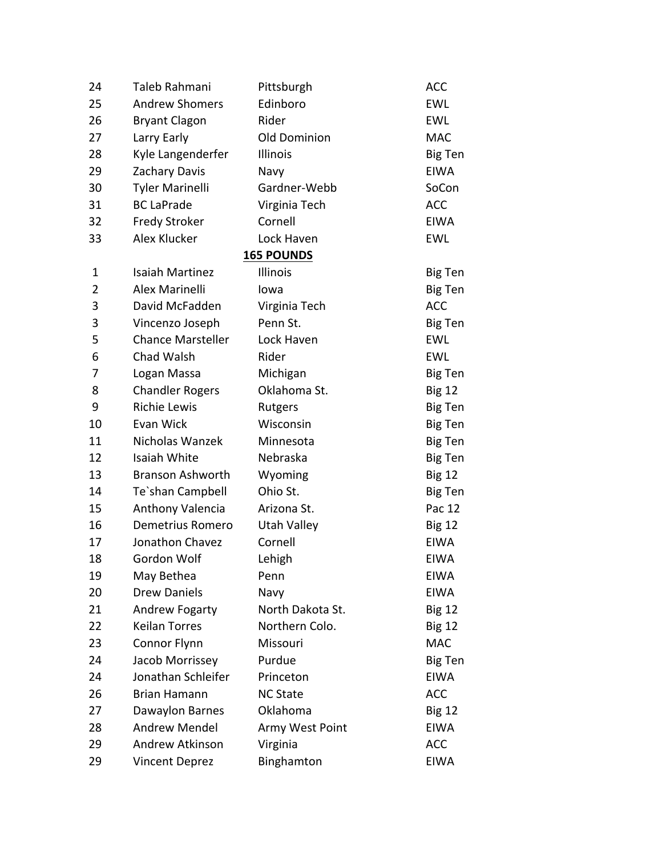| 24 | Taleb Rahmani            | Pittsburgh        | <b>ACC</b>     |
|----|--------------------------|-------------------|----------------|
| 25 | <b>Andrew Shomers</b>    | Edinboro          | EWL            |
| 26 | <b>Bryant Clagon</b>     | Rider             | <b>EWL</b>     |
| 27 | Larry Early              | Old Dominion      | <b>MAC</b>     |
| 28 | Kyle Langenderfer        | Illinois          | <b>Big Ten</b> |
| 29 | Zachary Davis            | Navy              | <b>EIWA</b>    |
| 30 | <b>Tyler Marinelli</b>   | Gardner-Webb      | SoCon          |
| 31 | <b>BC LaPrade</b>        | Virginia Tech     | <b>ACC</b>     |
| 32 | <b>Fredy Stroker</b>     | Cornell           | <b>EIWA</b>    |
| 33 | Alex Klucker             | Lock Haven        | <b>EWL</b>     |
|    |                          | <b>165 POUNDS</b> |                |
| 1  | <b>Isaiah Martinez</b>   | Illinois          | Big Ten        |
| 2  | <b>Alex Marinelli</b>    | lowa              | Big Ten        |
| 3  | David McFadden           | Virginia Tech     | <b>ACC</b>     |
| 3  | Vincenzo Joseph          | Penn St.          | Big Ten        |
| 5  | <b>Chance Marsteller</b> | Lock Haven        | <b>EWL</b>     |
| 6  | Chad Walsh               | Rider             | <b>EWL</b>     |
| 7  | Logan Massa              | Michigan          | <b>Big Ten</b> |
| 8  | <b>Chandler Rogers</b>   | Oklahoma St.      | <b>Big 12</b>  |
| 9  | <b>Richie Lewis</b>      | Rutgers           | Big Ten        |
| 10 | Evan Wick                | Wisconsin         | Big Ten        |
| 11 | Nicholas Wanzek          | Minnesota         | Big Ten        |
| 12 | Isaiah White             | Nebraska          | Big Ten        |
| 13 | <b>Branson Ashworth</b>  | Wyoming           | <b>Big 12</b>  |
| 14 | Te'shan Campbell         | Ohio St.          | Big Ten        |
| 15 | Anthony Valencia         | Arizona St.       | Pac 12         |
| 16 | <b>Demetrius Romero</b>  | Utah Valley       | <b>Big 12</b>  |
| 17 | Jonathon Chavez          | Cornell           | <b>EIWA</b>    |
| 18 | Gordon Wolf              | Lehigh            | <b>EIWA</b>    |
| 19 | May Bethea               | Penn              | <b>EIWA</b>    |
| 20 | <b>Drew Daniels</b>      | Navy              | <b>EIWA</b>    |
| 21 | Andrew Fogarty           | North Dakota St.  | <b>Big 12</b>  |
| 22 | <b>Keilan Torres</b>     | Northern Colo.    | <b>Big 12</b>  |
| 23 | Connor Flynn             | Missouri          | <b>MAC</b>     |
| 24 | Jacob Morrissey          | Purdue            | <b>Big Ten</b> |
| 24 | Jonathan Schleifer       | Princeton         | <b>EIWA</b>    |
| 26 | <b>Brian Hamann</b>      | <b>NC State</b>   | <b>ACC</b>     |
| 27 | Dawaylon Barnes          | Oklahoma          | <b>Big 12</b>  |
| 28 | <b>Andrew Mendel</b>     | Army West Point   | <b>EIWA</b>    |
| 29 | Andrew Atkinson          | Virginia          | <b>ACC</b>     |
| 29 | <b>Vincent Deprez</b>    | Binghamton        | <b>EIWA</b>    |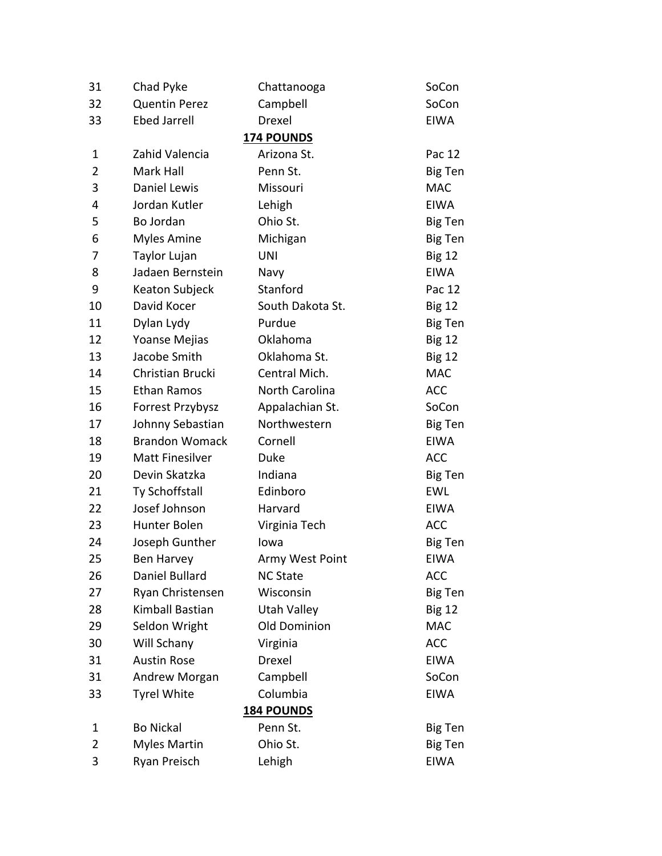| 31             | Chad Pyke              | Chattanooga         | SoCon          |
|----------------|------------------------|---------------------|----------------|
| 32             | <b>Quentin Perez</b>   | Campbell            | SoCon          |
| 33             | <b>Ebed Jarrell</b>    | Drexel              | <b>EIWA</b>    |
|                |                        | <b>174 POUNDS</b>   |                |
| $\mathbf 1$    | Zahid Valencia         | Arizona St.         | Pac 12         |
| $\overline{2}$ | Mark Hall              | Penn St.            | Big Ten        |
| 3              | <b>Daniel Lewis</b>    | Missouri            | <b>MAC</b>     |
| 4              | Jordan Kutler          | Lehigh              | <b>EIWA</b>    |
| 5              | Bo Jordan              | Ohio St.            | <b>Big Ten</b> |
| 6              | <b>Myles Amine</b>     | Michigan            | Big Ten        |
| 7              | Taylor Lujan           | <b>UNI</b>          | <b>Big 12</b>  |
| 8              | Jadaen Bernstein       | Navy                | <b>EIWA</b>    |
| 9              | Keaton Subjeck         | Stanford            | Pac 12         |
| 10             | David Kocer            | South Dakota St.    | <b>Big 12</b>  |
| 11             | Dylan Lydy             | Purdue              | <b>Big Ten</b> |
| 12             | Yoanse Mejias          | Oklahoma            | <b>Big 12</b>  |
| 13             | Jacobe Smith           | Oklahoma St.        | <b>Big 12</b>  |
| 14             | Christian Brucki       | Central Mich.       | <b>MAC</b>     |
| 15             | Ethan Ramos            | North Carolina      | <b>ACC</b>     |
| 16             | Forrest Przybysz       | Appalachian St.     | SoCon          |
| 17             | Johnny Sebastian       | Northwestern        | <b>Big Ten</b> |
| 18             | <b>Brandon Womack</b>  | Cornell             | <b>EIWA</b>    |
| 19             | <b>Matt Finesilver</b> | Duke                | <b>ACC</b>     |
| 20             | Devin Skatzka          | Indiana             | <b>Big Ten</b> |
| 21             | Ty Schoffstall         | Edinboro            | <b>EWL</b>     |
| 22             | Josef Johnson          | Harvard             | <b>EIWA</b>    |
| 23             | Hunter Bolen           | Virginia Tech       | <b>ACC</b>     |
| 24             | Joseph Gunther         | lowa                | <b>Big Ten</b> |
| 25             | Ben Harvey             | Army West Point     | <b>EIWA</b>    |
| 26             | Daniel Bullard         | <b>NC State</b>     | <b>ACC</b>     |
| 27             | Ryan Christensen       | Wisconsin           | <b>Big Ten</b> |
| 28             | Kimball Bastian        | <b>Utah Valley</b>  | <b>Big 12</b>  |
| 29             | Seldon Wright          | <b>Old Dominion</b> | <b>MAC</b>     |
| 30             | Will Schany            | Virginia            | <b>ACC</b>     |
| 31             | <b>Austin Rose</b>     | Drexel              | <b>EIWA</b>    |
| 31             | Andrew Morgan          | Campbell            | SoCon          |
| 33             | <b>Tyrel White</b>     | Columbia            | <b>EIWA</b>    |
|                |                        | <b>184 POUNDS</b>   |                |
| 1              | <b>Bo Nickal</b>       | Penn St.            | <b>Big Ten</b> |
| $\overline{2}$ | <b>Myles Martin</b>    | Ohio St.            | <b>Big Ten</b> |
| 3              | Ryan Preisch           | Lehigh              | <b>EIWA</b>    |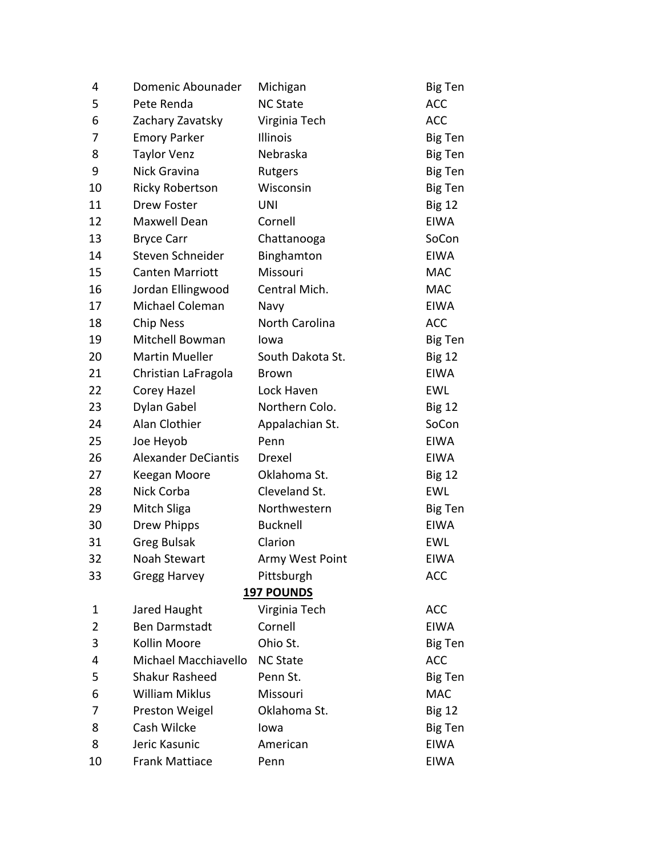| 4  | Domenic Abounader          | Michigan          | <b>Big Ten</b> |
|----|----------------------------|-------------------|----------------|
| 5  | Pete Renda                 | <b>NC State</b>   | <b>ACC</b>     |
| 6  | Zachary Zavatsky           | Virginia Tech     | <b>ACC</b>     |
| 7  | <b>Emory Parker</b>        | Illinois          | <b>Big Ten</b> |
| 8  | <b>Taylor Venz</b>         | Nebraska          | Big Ten        |
| 9  | Nick Gravina               | Rutgers           | <b>Big Ten</b> |
| 10 | <b>Ricky Robertson</b>     | Wisconsin         | Big Ten        |
| 11 | Drew Foster                | <b>UNI</b>        | <b>Big 12</b>  |
| 12 | Maxwell Dean               | Cornell           | <b>EIWA</b>    |
| 13 | <b>Bryce Carr</b>          | Chattanooga       | SoCon          |
| 14 | Steven Schneider           | Binghamton        | <b>EIWA</b>    |
| 15 | <b>Canten Marriott</b>     | Missouri          | <b>MAC</b>     |
| 16 | Jordan Ellingwood          | Central Mich.     | <b>MAC</b>     |
| 17 | Michael Coleman            | Navy              | <b>EIWA</b>    |
| 18 | <b>Chip Ness</b>           | North Carolina    | <b>ACC</b>     |
| 19 | Mitchell Bowman            | lowa              | <b>Big Ten</b> |
| 20 | <b>Martin Mueller</b>      | South Dakota St.  | <b>Big 12</b>  |
| 21 | Christian LaFragola        | <b>Brown</b>      | <b>EIWA</b>    |
| 22 | Corey Hazel                | Lock Haven        | <b>EWL</b>     |
| 23 | Dylan Gabel                | Northern Colo.    | <b>Big 12</b>  |
| 24 | Alan Clothier              | Appalachian St.   | SoCon          |
| 25 | Joe Heyob                  | Penn              | <b>EIWA</b>    |
| 26 | <b>Alexander DeCiantis</b> | Drexel            | <b>EIWA</b>    |
| 27 | Keegan Moore               | Oklahoma St.      | <b>Big 12</b>  |
| 28 | Nick Corba                 | Cleveland St.     | <b>EWL</b>     |
| 29 | Mitch Sliga                | Northwestern      | Big Ten        |
| 30 | Drew Phipps                | <b>Bucknell</b>   | <b>EIWA</b>    |
| 31 | <b>Greg Bulsak</b>         | Clarion           | <b>EWL</b>     |
| 32 | Noah Stewart               | Army West Point   | <b>EIWA</b>    |
| 33 | Gregg Harvey               | Pittsburgh        | <b>ACC</b>     |
|    |                            | <b>197 POUNDS</b> |                |
| 1  | Jared Haught               | Virginia Tech     | <b>ACC</b>     |
| 2  | <b>Ben Darmstadt</b>       | Cornell           | <b>EIWA</b>    |
| 3  | Kollin Moore               | Ohio St.          | <b>Big Ten</b> |
| 4  | Michael Macchiavello       | <b>NC State</b>   | <b>ACC</b>     |
| 5  | <b>Shakur Rasheed</b>      | Penn St.          | <b>Big Ten</b> |
| 6  | <b>William Miklus</b>      | Missouri          | <b>MAC</b>     |
| 7  | Preston Weigel             | Oklahoma St.      | <b>Big 12</b>  |
| 8  | Cash Wilcke                | lowa              | <b>Big Ten</b> |
| 8  | Jeric Kasunic              | American          | <b>EIWA</b>    |
| 10 | <b>Frank Mattiace</b>      | Penn              | <b>EIWA</b>    |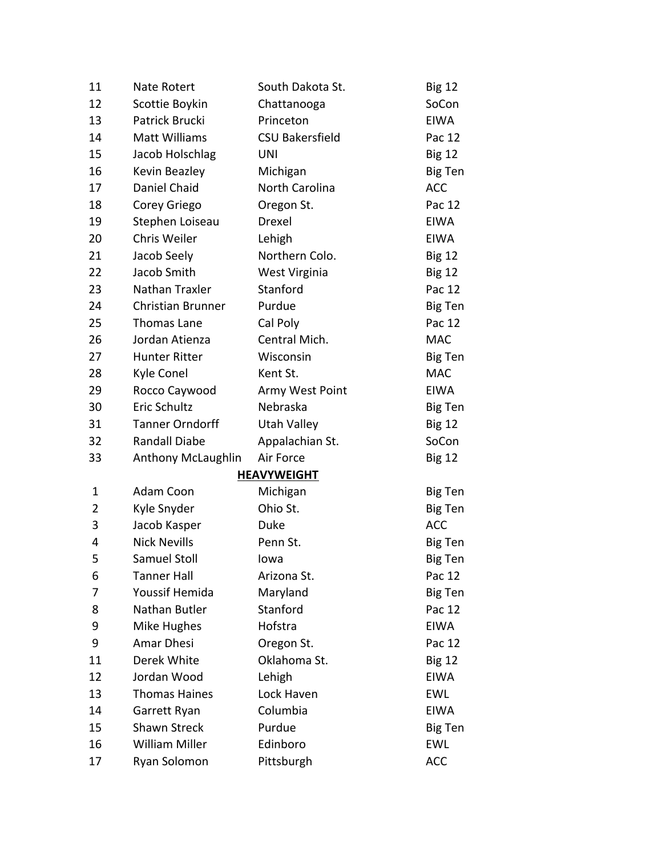| 11             | <b>Nate Rotert</b>        | South Dakota St.       | <b>Big 12</b>  |
|----------------|---------------------------|------------------------|----------------|
| 12             | Scottie Boykin            | Chattanooga            | SoCon          |
| 13             | Patrick Brucki            | Princeton              | <b>EIWA</b>    |
| 14             | Matt Williams             | <b>CSU Bakersfield</b> | Pac 12         |
| 15             | Jacob Holschlag           | <b>UNI</b>             | <b>Big 12</b>  |
| 16             | Kevin Beazley             | Michigan               | <b>Big Ten</b> |
| 17             | Daniel Chaid              | North Carolina         | <b>ACC</b>     |
| 18             | Corey Griego              | Oregon St.             | Pac 12         |
| 19             | Stephen Loiseau           | Drexel                 | EIWA           |
| 20             | Chris Weiler              | Lehigh                 | EIWA           |
| 21             | Jacob Seely               | Northern Colo.         | <b>Big 12</b>  |
| 22             | Jacob Smith               | West Virginia          | <b>Big 12</b>  |
| 23             | Nathan Traxler            | Stanford               | Pac 12         |
| 24             | <b>Christian Brunner</b>  | Purdue                 | Big Ten        |
| 25             | Thomas Lane               | Cal Poly               | Pac 12         |
| 26             | Jordan Atienza            | Central Mich.          | <b>MAC</b>     |
| 27             | <b>Hunter Ritter</b>      | Wisconsin              | Big Ten        |
| 28             | Kyle Conel                | Kent St.               | <b>MAC</b>     |
| 29             | Rocco Caywood             | Army West Point        | <b>EIWA</b>    |
| 30             | Eric Schultz              | Nebraska               | Big Ten        |
| 31             | <b>Tanner Orndorff</b>    | Utah Valley            | <b>Big 12</b>  |
| 32             | <b>Randall Diabe</b>      | Appalachian St.        | SoCon          |
| 33             | <b>Anthony McLaughlin</b> | Air Force              | <b>Big 12</b>  |
|                |                           | <b>HEAVYWEIGHT</b>     |                |
| 1              | Adam Coon                 | Michigan               | Big Ten        |
| $\overline{2}$ | Kyle Snyder               | Ohio St.               | Big Ten        |
| 3              | Jacob Kasper              | Duke                   | <b>ACC</b>     |
| 4              | <b>Nick Nevills</b>       | Penn St.               | Big Ten        |
| 5              | Samuel Stoll              | lowa                   | Big Ten        |
| 6              | <b>Tanner Hall</b>        | Arizona St.            | Pac 12         |
| 7              | Youssif Hemida            | Maryland               | Big Ten        |
| 8              | Nathan Butler             | Stanford               | Pac 12         |
| 9              | Mike Hughes               | Hofstra                | <b>EIWA</b>    |
| 9              | Amar Dhesi                | Oregon St.             | Pac 12         |
| 11             | Derek White               | Oklahoma St.           | <b>Big 12</b>  |
| 12             | Jordan Wood               | Lehigh                 | <b>EIWA</b>    |
| 13             | <b>Thomas Haines</b>      | Lock Haven             | EWL            |
| 14             | Garrett Ryan              | Columbia               | <b>EIWA</b>    |
| 15             | <b>Shawn Streck</b>       | Purdue                 | Big Ten        |
| 16             | <b>William Miller</b>     | Edinboro               | <b>EWL</b>     |
| 17             | Ryan Solomon              | Pittsburgh             | <b>ACC</b>     |